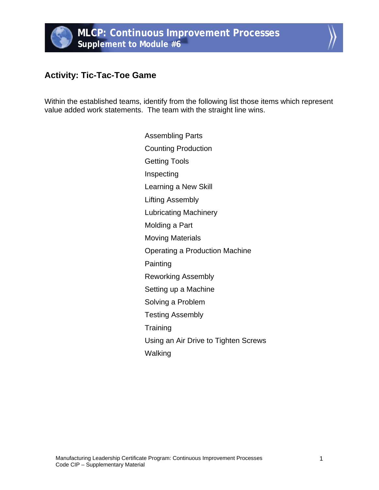## **Activity: Tic-Tac-Toe Game**

Within the established teams, identify from the following list those items which represent value added work statements. The team with the straight line wins.

> Assembling Parts Counting Production Getting Tools Inspecting Learning a New Skill Lifting Assembly Lubricating Machinery Molding a Part Moving Materials Operating a Production Machine Painting Reworking Assembly Setting up a Machine Solving a Problem Testing Assembly **Training** Using an Air Drive to Tighten Screws Walking